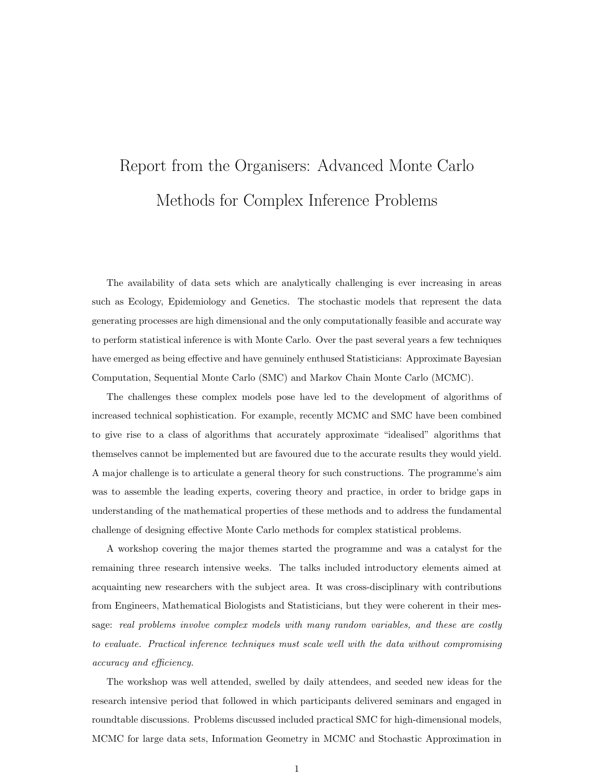## Report from the Organisers: Advanced Monte Carlo Methods for Complex Inference Problems

The availability of data sets which are analytically challenging is ever increasing in areas such as Ecology, Epidemiology and Genetics. The stochastic models that represent the data generating processes are high dimensional and the only computationally feasible and accurate way to perform statistical inference is with Monte Carlo. Over the past several years a few techniques have emerged as being effective and have genuinely enthused Statisticians: Approximate Bayesian Computation, Sequential Monte Carlo (SMC) and Markov Chain Monte Carlo (MCMC).

The challenges these complex models pose have led to the development of algorithms of increased technical sophistication. For example, recently MCMC and SMC have been combined to give rise to a class of algorithms that accurately approximate "idealised" algorithms that themselves cannot be implemented but are favoured due to the accurate results they would yield. A major challenge is to articulate a general theory for such constructions. The programme's aim was to assemble the leading experts, covering theory and practice, in order to bridge gaps in understanding of the mathematical properties of these methods and to address the fundamental challenge of designing effective Monte Carlo methods for complex statistical problems.

A workshop covering the major themes started the programme and was a catalyst for the remaining three research intensive weeks. The talks included introductory elements aimed at acquainting new researchers with the subject area. It was cross-disciplinary with contributions from Engineers, Mathematical Biologists and Statisticians, but they were coherent in their message: *real problems involve complex models with many random variables, and these are costly to evaluate. Practical inference techniques must scale well with the data without compromising accuracy and eciency.*

The workshop was well attended, swelled by daily attendees, and seeded new ideas for the research intensive period that followed in which participants delivered seminars and engaged in roundtable discussions. Problems discussed included practical SMC for high-dimensional models, MCMC for large data sets, Information Geometry in MCMC and Stochastic Approximation in